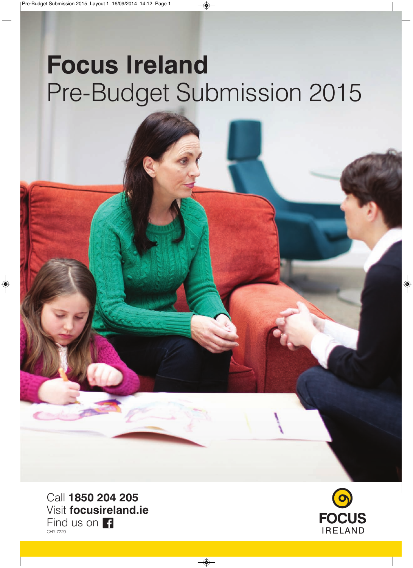# **Focus Ireland** Pre-Budget Submission 2015

Call **1850 204 205** Visit **focusireland.ie** Find us on **Fi** CHY 7220

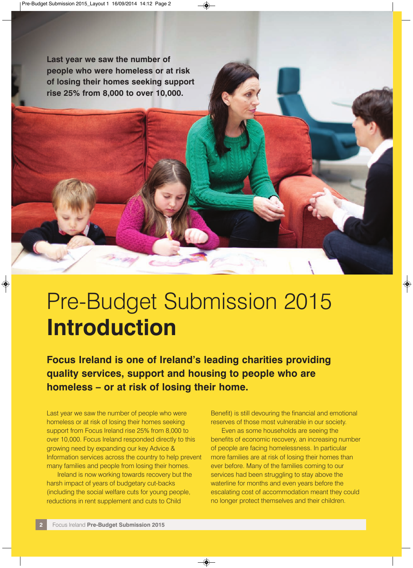**Last year we saw the number of people who were homeless or at risk of losing their homes seeking support rise 25% from 8,000 to over 10,000.**

### Pre-Budget Submission 2015 **Introduction**

**Focus Ireland is one of Ireland's leading charities providing quality services, support and housing to people who are homeless – or at risk of losing their home.**

Last year we saw the number of people who were homeless or at risk of losing their homes seeking support from Focus Ireland rise 25% from 8,000 to over 10,000. Focus Ireland responded directly to this growing need by expanding our key Advice & Information services across the country to help prevent many families and people from losing their homes.

Ireland is now working towards recovery but the harsh impact of years of budgetary cut-backs (including the social welfare cuts for young people, reductions in rent supplement and cuts to Child

Benefit) is still devouring the financial and emotional reserves of those most vulnerable in our society.

Even as some households are seeing the benefits of economic recovery, an increasing number of people are facing homelessness. In particular more families are at risk of losing their homes than ever before. Many of the families coming to our services had been struggling to stay above the waterline for months and even years before the escalating cost of accommodation meant they could no longer protect themselves and their children.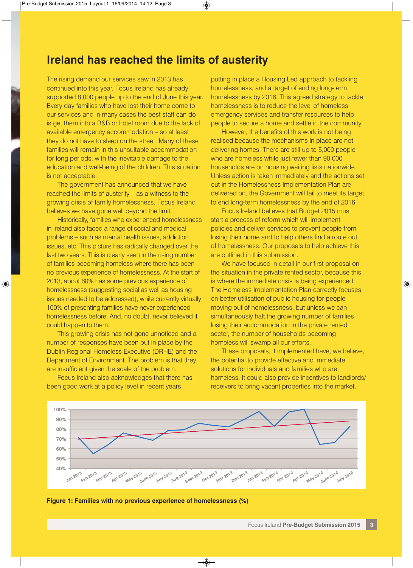#### **Ireland has reached the limits of austerity**

The rising demand our services saw in 2013 has continued into this year. Focus Ireland has already supported 8,000 people up to the end of June this year. Every day families who have lost their home come to our services and in many cases the best staff can do is get them into a B&B or hotel room due to the lack of available emergency accommodation – so at least they do not have to sleep on the street. Many of these families will remain in this unsuitable accommodation for long periods, with the inevitable damage to the education and well-being of the children. This situation is not acceptable.

The government has announced that we have reached the limits of austerity – as a witness to the growing crisis of family homelessness, Focus Ireland believes we have gone well beyond the limit.

Historically, families who experienced homelessness in Ireland also faced a range of social and medical problems – such as mental health issues, addiction issues, etc. This picture has radically changed over the last two years. This is clearly seen in the rising number of families becoming homeless where there has been no previous experience of homelessness. At the start of 2013, about 60% has some previous experience of homelessness (suggesting social as well as housing issues needed to be addressed), while currently virtually 100% of presenting families have never experienced homelessness before. And, no doubt, never believed it could happen to them.

This growing crisis has not gone unnoticed and a number of responses have been put in place by the Dublin Regional Homeless Executive (DRHE) and the Department of Environment. The problem is that they are insufficient given the scale of the problem.

Focus Ireland also acknowledges that there has been good work at a policy level in recent years

putting in place a Housing Led approach to tackling homelessness, and a target of ending long-term homelessness by 2016. This agreed strategy to tackle homelessness is to reduce the level of homeless emergency services and transfer resources to help people to secure a home and settle in the community.

However, the benefits of this work is not being realised because the mechanisms in place are not delivering homes. There are still up to 5,000 people who are homeless while just fewer than 90,000 households are on housing waiting lists nationwide. Unless action is taken immediately and the actions set out in the Homelessness Implementation Plan are delivered on, the Government will fail to meet its target to end long-term homelessness by the end of 2016.

Focus Ireland believes that Budget 2015 must start a process of reform which will implement policies and deliver services to prevent people from losing their home and to help others find a route out of homelessness. Our proposals to help achieve this are outlined in this submission.

We have focused in detail in our first proposal on the situation in the private rented sector, because this is where the immediate crisis is being experienced. The Homeless Implementation Plan correctly focuses on better utilisation of public housing for people moving out of homelessness, but unless we can simultaneously halt the growing number of families losing their accommodation in the private rented sector, the number of households becoming homeless will swamp all our efforts.

These proposals, if implemented have, we believe, the potential to provide effective and immediate solutions for individuals and families who are homeless. It could also provide incentives to landlords/ receivers to bring vacant properties into the market.



**Figure 1: Families with no previous experience of homelessness (%)**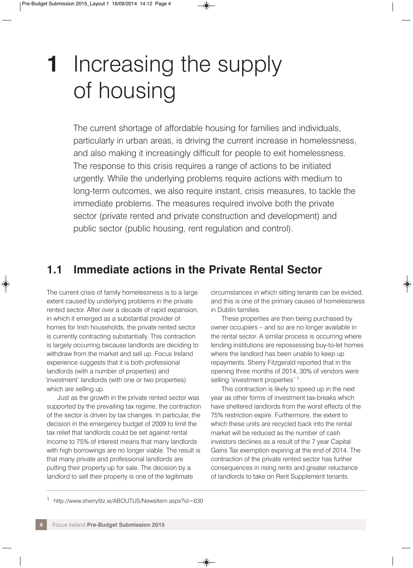### **1** Increasing the supply of housing

The current shortage of affordable housing for families and individuals, particularly in urban areas, is driving the current increase in homelessness, and also making it increasingly difficult for people to exit homelessness. The response to this crisis requires a range of actions to be initiated urgently. While the underlying problems require actions with medium to long-term outcomes, we also require instant, crisis measures, to tackle the immediate problems. The measures required involve both the private sector (private rented and private construction and development) and public sector (public housing, rent regulation and control).

### **1.1 Immediate actions in the Private Rental Sector**

 $\mathcal{L} \rightarrow \mathcal{L} \rightarrow \mathcal{L}$  , where  $\mathcal{L} \rightarrow \mathcal{L}$  is the set of the set of the set of the set of the set of the set of the set of the set of the set of the set of the set of the set of the set of the set of the set of the

The current crisis of family homelessness is to a large extent caused by underlying problems in the private rented sector. After over a decade of rapid expansion, in which it emerged as a substantial provider of homes for Irish households, the private rented sector is currently contracting substantially. This contraction is largely occurring because landlords are deciding to withdraw from the market and sell up. Focus Ireland experience suggests that it is both professional landlords (with a number of properties) and 'investment' landlords (with one or two properties) which are selling up.

Just as the growth in the private rented sector was supported by the prevailing tax regime, the contraction of the sector is driven by tax changes. In particular, the decision in the emergency budget of 2009 to limit the tax relief that landlords could be set against rental income to 75% of interest means that many landlords with high borrowings are no longer viable. The result is that many private and professional landlords are putting their property up for sale. The decision by a landlord to sell their property is one of the legitimate

circumstances in which sitting tenants can be evicted, and this is one of the primary causes of homelessness in Dublin families.

These properties are then being purchased by owner occupiers – and so are no longer available in the rental sector. A similar process is occurring where lending institutions are repossessing buy-to-let homes where the landlord has been unable to keep up repayments. Sherry Fitzgerald reported that in the opening three months of 2014, 30% of vendors were selling 'investment properties' <sup>1</sup>.

This contraction is likely to speed up in the next year as other forms of investment tax-breaks which have sheltered landlords from the worst effects of the 75% restriction expire. Furthermore, the extent to which these units are recycled back into the rental market will be reduced as the number of cash investors declines as a result of the 7 year Capital Gains Tax exemption expiring at the end of 2014. The contraction of the private rented sector has further consequences in rising rents and greater reluctance of landlords to take on Rent Supplement tenants.

<sup>1</sup> http://www.sherryfitz.ie/ABOUTUS/NewsItem.aspx?id=630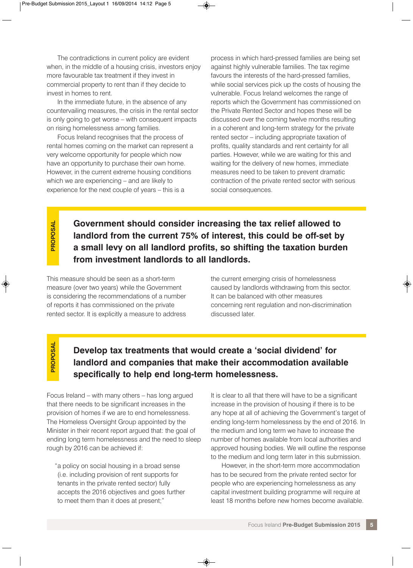The contradictions in current policy are evident when, in the middle of a housing crisis, investors enjoy more favourable tax treatment if they invest in commercial property to rent than if they decide to invest in homes to rent.

In the immediate future, in the absence of any countervailing measures, the crisis in the rental sector is only going to get worse – with consequent impacts on rising homelessness among families.

Focus Ireland recognises that the process of rental homes coming on the market can represent a very welcome opportunity for people which now have an opportunity to purchase their own home. However, in the current extreme housing conditions which we are experiencing – and are likely to experience for the next couple of years – this is a

process in which hard-pressed families are being set against highly vulnerable families. The tax regime favours the interests of the hard-pressed families, while social services pick up the costs of housing the vulnerable. Focus Ireland welcomes the range of reports which the Government has commissioned on the Private Rented Sector and hopes these will be discussed over the coming twelve months resulting in a coherent and long-term strategy for the private rented sector – including appropriate taxation of profits, quality standards and rent certainty for all parties. However, while we are waiting for this and waiting for the delivery of new homes, immediate measures need to be taken to prevent dramatic contraction of the private rented sector with serious social consequences.

**PROPOSAL** PROPOSAL

**Government should consider increasing the tax relief allowed to landlord from the current 75% of interest, this could be off-set by a small levy on all landlord profits, so shifting the taxation burden from investment landlords to all landlords.**

This measure should be seen as a short-term measure (over two years) while the Government is considering the recommendations of a number of reports it has commissioned on the private rented sector. It is explicitly a measure to address

the current emerging crisis of homelessness caused by landlords withdrawing from this sector. It can be balanced with other measures concerning rent regulation and non-discrimination discussed later.

### **PROPOSAL** PROPOSAI

#### **Develop tax treatments that would create a 'social dividend' for landlord and companies that make their accommodation available specifically to help end long-term homelessness.**

Focus Ireland – with many others – has long argued that there needs to be significant increases in the provision of homes if we are to end homelessness. The Homeless Oversight Group appointed by the Minister in their recent report argued that: the goal of ending long term homelessness and the need to sleep rough by 2016 can be achieved if:

"a policy on social housing in a broad sense (i.e. including provision of rent supports for tenants in the private rented sector) fully accepts the 2016 objectives and goes further to meet them than it does at present;"

It is clear to all that there will have to be a significant increase in the provision of housing if there is to be any hope at all of achieving the Government's target of ending long-term homelessness by the end of 2016. In the medium and long term we have to increase the number of homes available from local authorities and approved housing bodies. We will outline the response to the medium and long term later in this submission.

However, in the short-term more accommodation has to be secured from the private rented sector for people who are experiencing homelessness as any capital investment building programme will require at least 18 months before new homes become available.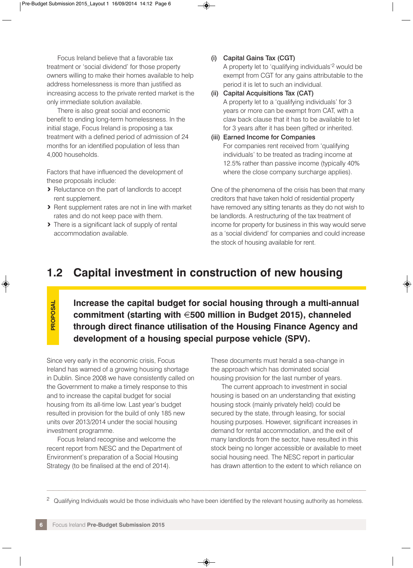Focus Ireland believe that a favorable tax treatment or 'social dividend' for those property owners willing to make their homes available to help address homelessness is more than justified as increasing access to the private rented market is the only immediate solution available.

There is also great social and economic benefit to ending long-term homelessness. In the initial stage, Focus Ireland is proposing a tax treatment with a defined period of admission of 24 months for an identified population of less than 4,000 households.

Factors that have influenced the development of these proposals include:

- **>** Reluctance on the part of landlords to accept rent supplement.
- **>** Rent supplement rates are not in line with market rates and do not keep pace with them.
- **>** There is a significant lack of supply of rental accommodation available.
- (i) Capital Gains Tax (CGT) A property let to 'qualifying individuals'2 would be exempt from CGT for any gains attributable to the period it is let to such an individual.
- (ii) Capital Acquisitions Tax (CAT) A property let to a 'qualifying individuals' for 3 years or more can be exempt from CAT, with a claw back clause that it has to be available to let for 3 years after it has been gifted or inherited.
- (iii) Earned Income for Companies For companies rent received from 'qualifying individuals' to be treated as trading income at 12.5% rather than passive income (typically 40% where the close company surcharge applies).

One of the phenomena of the crisis has been that many creditors that have taken hold of residential property have removed any sitting tenants as they do not wish to be landlords. A restructuring of the tax treatment of income for property for business in this way would serve as a 'social dividend' for companies and could increase the stock of housing available for rent.

#### **1.2 Capital investment in construction of new housing**

PROPOSAL **PROPOSAL**

**Increase the capital budget for social housing through a multi-annual commitment (starting with** €**500 million in Budget 2015), channeled through direct finance utilisation of the Housing Finance Agency and development of a housing special purpose vehicle (SPV).**

Since very early in the economic crisis, Focus Ireland has warned of a growing housing shortage in Dublin. Since 2008 we have consistently called on the Government to make a timely response to this and to increase the capital budget for social housing from its all-time low. Last year's budget resulted in provision for the build of only 185 new units over 2013/2014 under the social housing investment programme.

Focus Ireland recognise and welcome the recent report from NESC and the Department of Environment's preparation of a Social Housing Strategy (to be finalised at the end of 2014).

These documents must herald a sea-change in the approach which has dominated social housing provision for the last number of years.

The current approach to investment in social housing is based on an understanding that existing housing stock (mainly privately held) could be secured by the state, through leasing, for social housing purposes. However, significant increases in demand for rental accommodation, and the exit of many landlords from the sector, have resulted in this stock being no longer accessible or available to meet social housing need. The NESC report in particular has drawn attention to the extent to which reliance on

<sup>—————————————————————————————————————————————————————</sup> <sup>2</sup> Qualifying Individuals would be those individuals who have been identified by the relevant housing authority as homeless.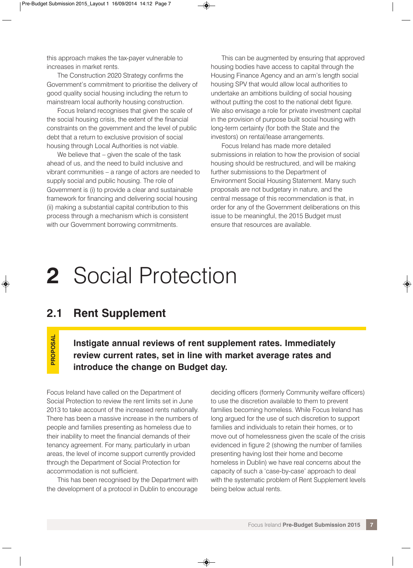this approach makes the tax-payer vulnerable to increases in market rents.

The Construction 2020 Strategy confirms the Government's commitment to prioritise the delivery of good quality social housing including the return to mainstream local authority housing construction.

Focus Ireland recognises that given the scale of the social housing crisis, the extent of the financial constraints on the government and the level of public debt that a return to exclusive provision of social housing through Local Authorities is not viable.

We believe that – given the scale of the task ahead of us, and the need to build inclusive and vibrant communities – a range of actors are needed to supply social and public housing. The role of Government is (i) to provide a clear and sustainable framework for financing and delivering social housing (ii) making a substantial capital contribution to this process through a mechanism which is consistent with our Government borrowing commitments.

This can be augmented by ensuring that approved housing bodies have access to capital through the Housing Finance Agency and an arm's length social housing SPV that would allow local authorities to undertake an ambitions building of social housing without putting the cost to the national debt figure. We also envisage a role for private investment capital in the provision of purpose built social housing with long-term certainty (for both the State and the investors) on rental/lease arrangements.

Focus Ireland has made more detailed submissions in relation to how the provision of social housing should be restructured, and will be making further submissions to the Department of Environment Social Housing Statement. Many such proposals are not budgetary in nature, and the central message of this recommendation is that, in order for any of the Government deliberations on this issue to be meaningful, the 2015 Budget must ensure that resources are available.

### **2** Social Protection

#### **2.1 Rent Supplement**

PROPOSAL **PROPOSAL**

**Instigate annual reviews of rent supplement rates. Immediately review current rates, set in line with market average rates and introduce the change on Budget day.**

Focus Ireland have called on the Department of Social Protection to review the rent limits set in June 2013 to take account of the increased rents nationally. There has been a massive increase in the numbers of people and families presenting as homeless due to their inability to meet the financial demands of their tenancy agreement. For many, particularly in urban areas, the level of income support currently provided through the Department of Social Protection for accommodation is not sufficient.

This has been recognised by the Department with the development of a protocol in Dublin to encourage

deciding officers (formerly Community welfare officers) to use the discretion available to them to prevent families becoming homeless. While Focus Ireland has long argued for the use of such discretion to support families and individuals to retain their homes, or to move out of homelessness given the scale of the crisis evidenced in figure 2 (showing the number of families presenting having lost their home and become homeless in Dublin) we have real concerns about the capacity of such a 'case-by-case' approach to deal with the systematic problem of Rent Supplement levels being below actual rents.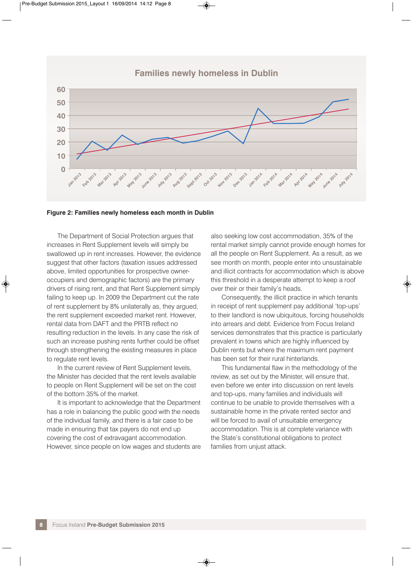





The Department of Social Protection argues that increases in Rent Supplement levels will simply be swallowed up in rent increases. However, the evidence suggest that other factors (taxation issues addressed above, limited opportunities for prospective owneroccupiers and demographic factors) are the primary drivers of rising rent, and that Rent Supplement simply failing to keep up. In 2009 the Department cut the rate of rent supplement by 8% unilaterally as, they argued, the rent supplement exceeded market rent. However, rental data from DAFT and the PRTB reflect no resulting reduction in the levels. In any case the risk of such an increase pushing rents further could be offset through strengthening the existing measures in place to regulate rent levels.

In the current review of Rent Supplement levels, the Minister has decided that the rent levels available to people on Rent Supplement will be set on the cost of the bottom 35% of the market.

It is important to acknowledge that the Department has a role in balancing the public good with the needs of the individual family, and there is a fair case to be made in ensuring that tax payers do not end up covering the cost of extravagant accommodation. However, since people on low wages and students are also seeking low cost accommodation, 35% of the rental market simply cannot provide enough homes for all the people on Rent Supplement. As a result, as we see month on month, people enter into unsustainable and illicit contracts for accommodation which is above this threshold in a desperate attempt to keep a roof over their or their family's heads.

Consequently, the illicit practice in which tenants in receipt of rent supplement pay additional 'top-ups' to their landlord is now ubiquitous, forcing households into arrears and debt. Evidence from Focus Ireland services demonstrates that this practice is particularly prevalent in towns which are highly influenced by Dublin rents but where the maximum rent payment has been set for their rural hinterlands.

This fundamental flaw in the methodology of the review, as set out by the Minister, will ensure that, even before we enter into discussion on rent levels and top-ups, many families and individuals will continue to be unable to provide themselves with a sustainable home in the private rented sector and will be forced to avail of unsuitable emergency accommodation. This is at complete variance with the State's constitutional obligations to protect families from unjust attack.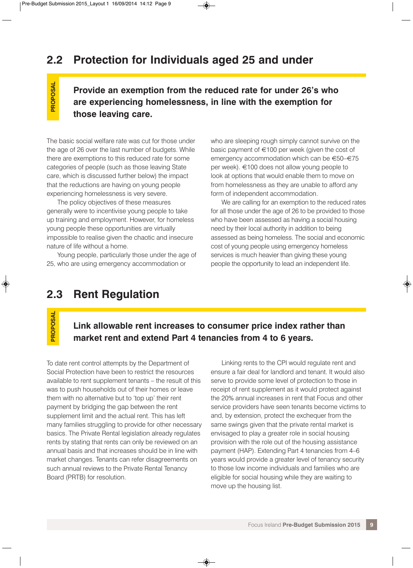### **2.2 Protection for Individuals aged 25 and under**

**Provide an exemption from the reduced rate for under 26's who are experiencing homelessness, in line with the exemption for those leaving care.**

The basic social welfare rate was cut for those under the age of 26 over the last number of budgets. While there are exemptions to this reduced rate for some categories of people (such as those leaving State care, which is discussed further below) the impact that the reductions are having on young people experiencing homelessness is very severe.

The policy objectives of these measures generally were to incentivise young people to take up training and employment. However, for homeless young people these opportunities are virtually impossible to realise given the chaotic and insecure nature of life without a home.

Young people, particularly those under the age of 25, who are using emergency accommodation or

who are sleeping rough simply cannot survive on the basic payment of  $\in$ 100 per week (given the cost of emergency accommodation which can be €50–€75 per week). €100 does not allow young people to look at options that would enable them to move on from homelessness as they are unable to afford any form of independent accommodation.

We are calling for an exemption to the reduced rates for all those under the age of 26 to be provided to those who have been assessed as having a social housing need by their local authority in addition to being assessed as being homeless. The social and economic cost of young people using emergency homeless services is much heavier than giving these young people the opportunity to lead an independent life.

#### **2.3 Rent Regulation**

PROPOSAL **PROPOSAL**

**PROPOSAL**

PROPOSAL

#### **Link allowable rent increases to consumer price index rather than market rent and extend Part 4 tenancies from 4 to 6 years.**

To date rent control attempts by the Department of Social Protection have been to restrict the resources available to rent supplement tenants – the result of this was to push households out of their homes or leave them with no alternative but to 'top up' their rent payment by bridging the gap between the rent supplement limit and the actual rent. This has left many families struggling to provide for other necessary basics. The Private Rental legislation already regulates rents by stating that rents can only be reviewed on an annual basis and that increases should be in line with market changes. Tenants can refer disagreements on such annual reviews to the Private Rental Tenancy Board (PRTB) for resolution.

Linking rents to the CPI would regulate rent and ensure a fair deal for landlord and tenant. It would also serve to provide some level of protection to those in receipt of rent supplement as it would protect against the 20% annual increases in rent that Focus and other service providers have seen tenants become victims to and, by extension, protect the exchequer from the same swings given that the private rental market is envisaged to play a greater role in social housing provision with the role out of the housing assistance payment (HAP). Extending Part 4 tenancies from 4–6 years would provide a greater level of tenancy security to those low income individuals and families who are eligible for social housing while they are waiting to move up the housing list.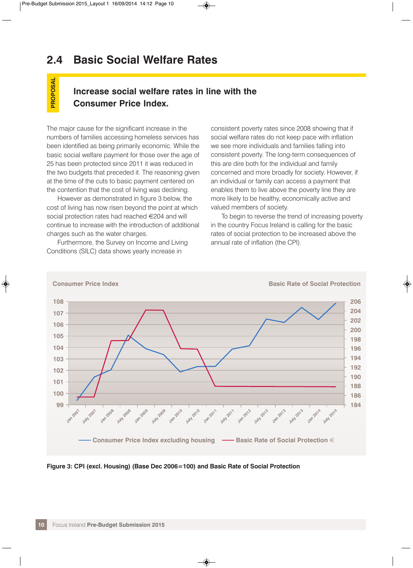### **2.4 Basic Social Welfare Rates**

#### **Increase social welfare rates in line with the Consumer Price Index.**

The major cause for the significant increase in the numbers of families accessing homeless services has been identified as being primarily economic. While the basic social welfare payment for those over the age of 25 has been protected since 2011 it was reduced in the two budgets that preceded it. The reasoning given at the time of the cuts to basic payment centered on the contention that the cost of living was declining.

**PROPOSAL**

PROPOSAL

However as demonstrated in figure 3 below, the cost of living has now risen beyond the point at which social protection rates had reached €204 and will continue to increase with the introduction of additional charges such as the water charges.

Furthermore, the Survey on Income and Living Conditions (SILC) data shows yearly increase in

consistent poverty rates since 2008 showing that if social welfare rates do not keep pace with inflation we see more individuals and families falling into consistent poverty. The long-term consequences of this are dire both for the individual and family concerned and more broadly for society. However, if an individual or family can access a payment that enables them to live above the poverty line they are more likely to be healthy, economically active and valued members of society.

To begin to reverse the trend of increasing poverty in the country Focus Ireland is calling for the basic rates of social protection to be increased above the annual rate of inflation (the CPI).



**Figure 3: CPI (excl. Housing) (Base Dec 2006=100) and Basic Rate of Social Protection**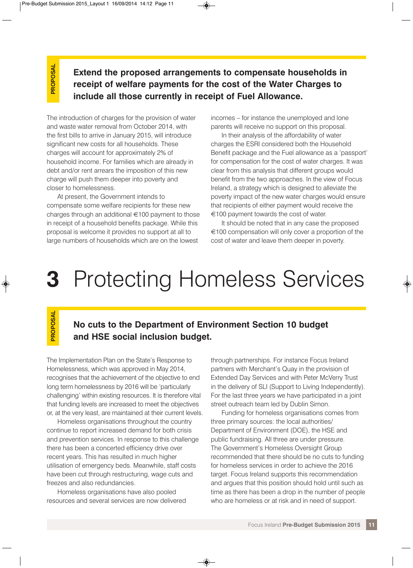PROPOSAL **PROPOSAL**

**Extend the proposed arrangements to compensate households in receipt of welfare payments for the cost of the Water Charges to include all those currently in receipt of Fuel Allowance.**

The introduction of charges for the provision of water and waste water removal from October 2014, with the first bills to arrive in January 2015, will introduce significant new costs for all households. These charges will account for approximately 2% of household income. For families which are already in debt and/or rent arrears the imposition of this new charge will push them deeper into poverty and closer to homelessness.

At present, the Government intends to compensate some welfare recipients for these new charges through an additional €100 payment to those in receipt of a household benefits package. While this proposal is welcome it provides no support at all to large numbers of households which are on the lowest

incomes – for instance the unemployed and lone parents will receive no support on this proposal.

In their analysis of the affordability of water charges the ESRI considered both the Household Benefit package and the Fuel allowance as a 'passport' for compensation for the cost of water charges. It was clear from this analysis that different groups would benefit from the two approaches. In the view of Focus Ireland, a strategy which is designed to alleviate the poverty impact of the new water charges would ensure that recipients of either payment would receive the €100 payment towards the cost of water.

It should be noted that in any case the proposed €100 compensation will only cover a proportion of the cost of water and leave them deeper in poverty.

### **3** Protecting Homeless Services

PROPOSAL **PROPOSAL**

#### **No cuts to the Department of Environment Section 10 budget and HSE social inclusion budget.**

The Implementation Plan on the State's Response to Homelessness, which was approved in May 2014, recognises that the achievement of the objective to end long term homelessness by 2016 will be 'particularly challenging' within existing resources. It is therefore vital that funding levels are increased to meet the objectives or, at the very least, are maintained at their current levels.

Homeless organisations throughout the country continue to report increased demand for both crisis and prevention services. In response to this challenge there has been a concerted efficiency drive over recent years. This has resulted in much higher utilisation of emergency beds. Meanwhile, staff costs have been cut through restructuring, wage cuts and freezes and also redundancies.

Homeless organisations have also pooled resources and several services are now delivered

through partnerships. For instance Focus Ireland partners with Merchant's Quay in the provision of Extended Day Services and with Peter McVerry Trust in the delivery of SLI (Support to Living Independently). For the last three years we have participated in a joint street outreach team led by Dublin Simon.

Funding for homeless organisations comes from three primary sources: the local authorities/ Department of Environment (DOE), the HSE and public fundraising. All three are under pressure. The Government's Homeless Oversight Group recommended that there should be no cuts to funding for homeless services in order to achieve the 2016 target. Focus Ireland supports this recommendation and argues that this position should hold until such as time as there has been a drop in the number of people who are homeless or at risk and in need of support.